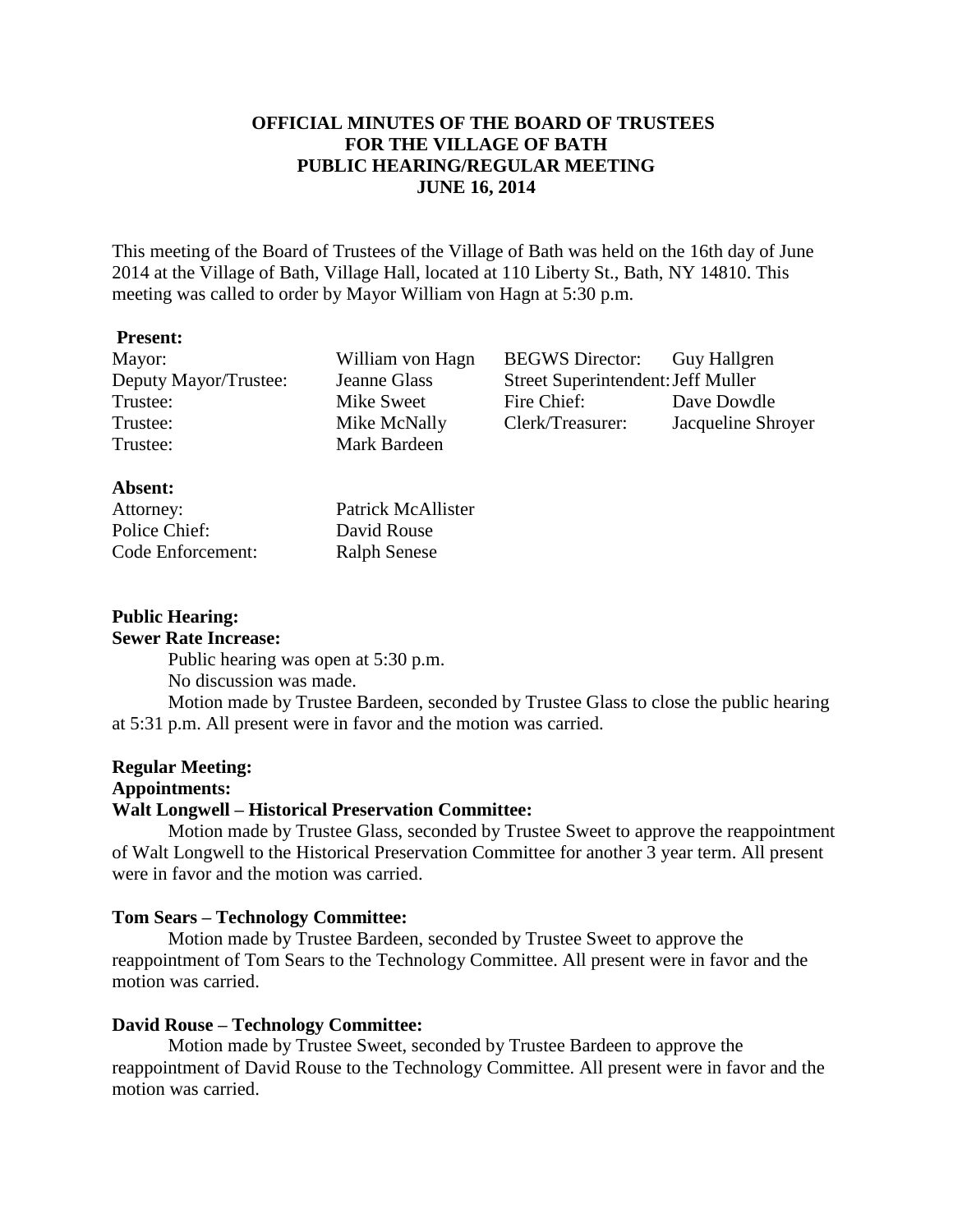# **OFFICIAL MINUTES OF THE BOARD OF TRUSTEES FOR THE VILLAGE OF BATH PUBLIC HEARING/REGULAR MEETING JUNE 16, 2014**

This meeting of the Board of Trustees of the Village of Bath was held on the 16th day of June 2014 at the Village of Bath, Village Hall, located at 110 Liberty St., Bath, NY 14810. This meeting was called to order by Mayor William von Hagn at 5:30 p.m.

## **Present:**

Trustee: Mark Bardeen

Mayor: William von Hagn BEGWS Director: Guy Hallgren Deputy Mayor/Trustee: Jeanne Glass Street Superintendent: Jeff Muller Trustee: Mike Sweet Fire Chief: Dave Dowdle Trustee: Mike McNally Clerk/Treasurer: Jacqueline Shroyer

## **Absent:**

Police Chief: David Rouse Code Enforcement: Ralph Senese

Attorney: Patrick McAllister

# **Public Hearing:**

**Sewer Rate Increase:**

Public hearing was open at 5:30 p.m.

No discussion was made.

Motion made by Trustee Bardeen, seconded by Trustee Glass to close the public hearing at 5:31 p.m. All present were in favor and the motion was carried.

# **Regular Meeting:**

# **Appointments:**

# **Walt Longwell – Historical Preservation Committee:**

Motion made by Trustee Glass, seconded by Trustee Sweet to approve the reappointment of Walt Longwell to the Historical Preservation Committee for another 3 year term. All present were in favor and the motion was carried.

## **Tom Sears – Technology Committee:**

Motion made by Trustee Bardeen, seconded by Trustee Sweet to approve the reappointment of Tom Sears to the Technology Committee. All present were in favor and the motion was carried.

# **David Rouse – Technology Committee:**

Motion made by Trustee Sweet, seconded by Trustee Bardeen to approve the reappointment of David Rouse to the Technology Committee. All present were in favor and the motion was carried.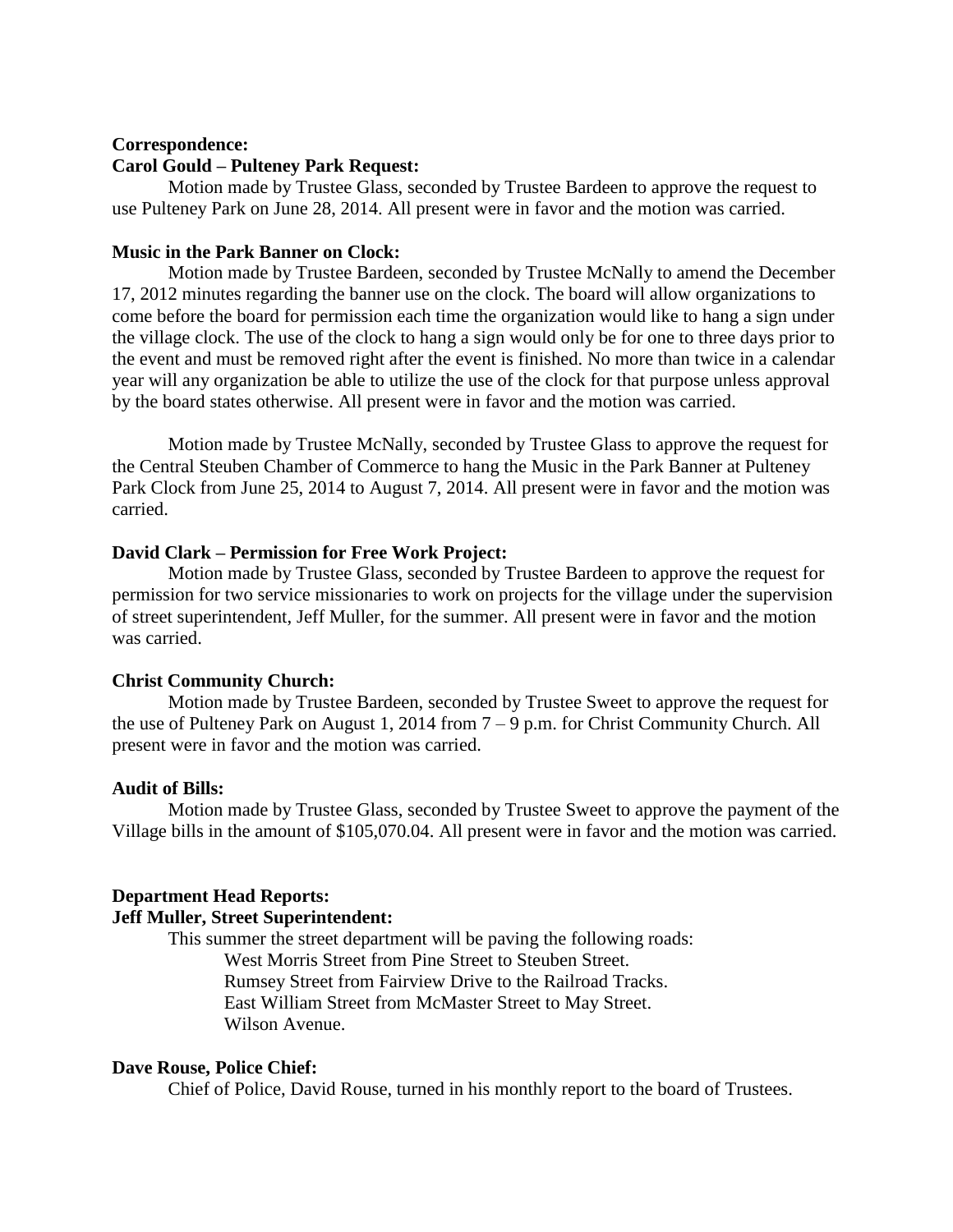#### **Correspondence:**

### **Carol Gould – Pulteney Park Request:**

Motion made by Trustee Glass, seconded by Trustee Bardeen to approve the request to use Pulteney Park on June 28, 2014. All present were in favor and the motion was carried.

## **Music in the Park Banner on Clock:**

Motion made by Trustee Bardeen, seconded by Trustee McNally to amend the December 17, 2012 minutes regarding the banner use on the clock. The board will allow organizations to come before the board for permission each time the organization would like to hang a sign under the village clock. The use of the clock to hang a sign would only be for one to three days prior to the event and must be removed right after the event is finished. No more than twice in a calendar year will any organization be able to utilize the use of the clock for that purpose unless approval by the board states otherwise. All present were in favor and the motion was carried.

Motion made by Trustee McNally, seconded by Trustee Glass to approve the request for the Central Steuben Chamber of Commerce to hang the Music in the Park Banner at Pulteney Park Clock from June 25, 2014 to August 7, 2014. All present were in favor and the motion was carried.

#### **David Clark – Permission for Free Work Project:**

Motion made by Trustee Glass, seconded by Trustee Bardeen to approve the request for permission for two service missionaries to work on projects for the village under the supervision of street superintendent, Jeff Muller, for the summer. All present were in favor and the motion was carried.

#### **Christ Community Church:**

Motion made by Trustee Bardeen, seconded by Trustee Sweet to approve the request for the use of Pulteney Park on August 1, 2014 from 7 – 9 p.m. for Christ Community Church. All present were in favor and the motion was carried.

#### **Audit of Bills:**

Motion made by Trustee Glass, seconded by Trustee Sweet to approve the payment of the Village bills in the amount of \$105,070.04. All present were in favor and the motion was carried.

#### **Department Head Reports:**

## **Jeff Muller, Street Superintendent:**

This summer the street department will be paving the following roads: West Morris Street from Pine Street to Steuben Street. Rumsey Street from Fairview Drive to the Railroad Tracks. East William Street from McMaster Street to May Street. Wilson Avenue.

#### **Dave Rouse, Police Chief:**

Chief of Police, David Rouse, turned in his monthly report to the board of Trustees.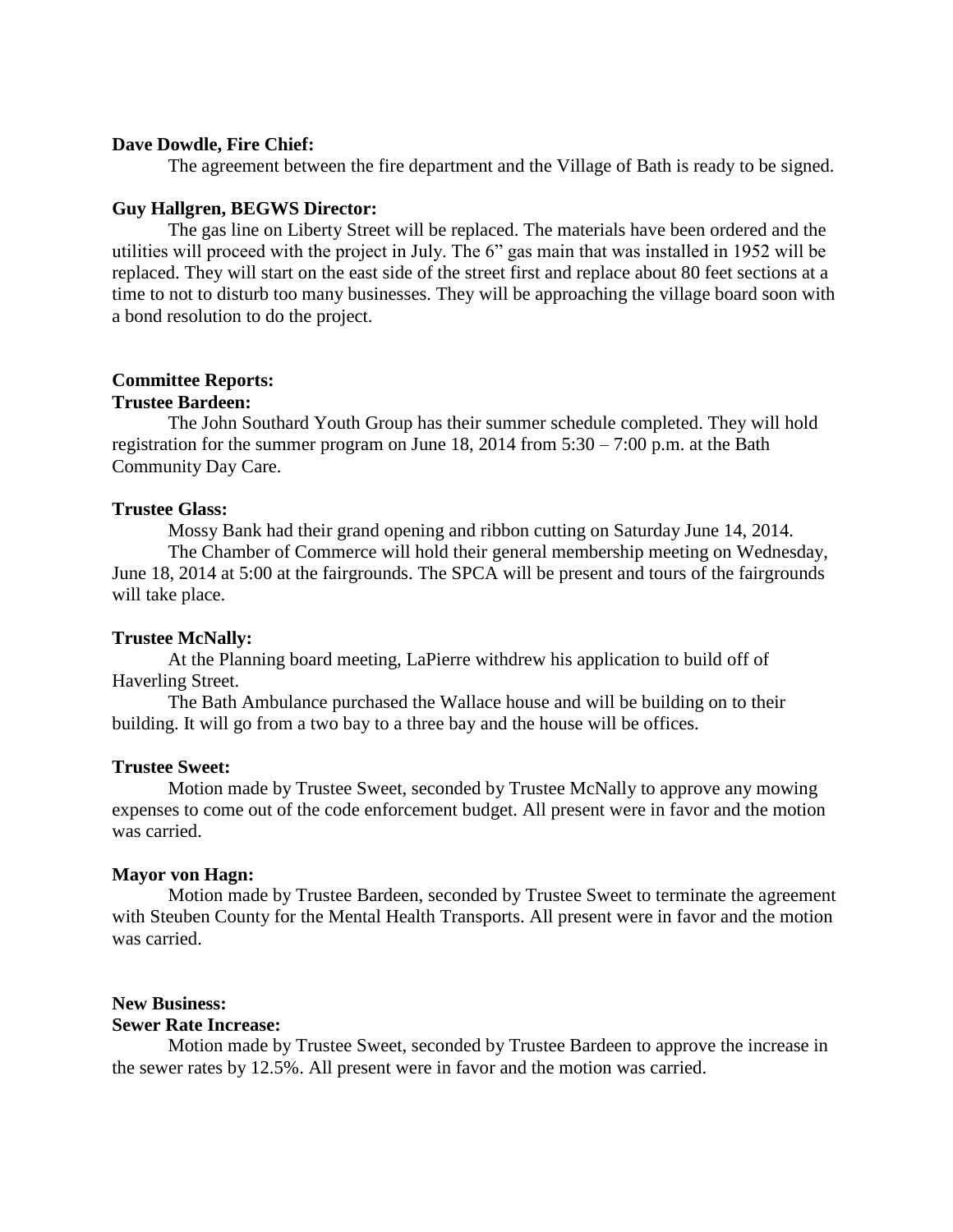### **Dave Dowdle, Fire Chief:**

The agreement between the fire department and the Village of Bath is ready to be signed.

### **Guy Hallgren, BEGWS Director:**

The gas line on Liberty Street will be replaced. The materials have been ordered and the utilities will proceed with the project in July. The 6" gas main that was installed in 1952 will be replaced. They will start on the east side of the street first and replace about 80 feet sections at a time to not to disturb too many businesses. They will be approaching the village board soon with a bond resolution to do the project.

# **Committee Reports:**

# **Trustee Bardeen:**

The John Southard Youth Group has their summer schedule completed. They will hold registration for the summer program on June 18, 2014 from  $5:30 - 7:00$  p.m. at the Bath Community Day Care.

## **Trustee Glass:**

Mossy Bank had their grand opening and ribbon cutting on Saturday June 14, 2014. The Chamber of Commerce will hold their general membership meeting on Wednesday, June 18, 2014 at 5:00 at the fairgrounds. The SPCA will be present and tours of the fairgrounds will take place.

#### **Trustee McNally:**

At the Planning board meeting, LaPierre withdrew his application to build off of Haverling Street.

The Bath Ambulance purchased the Wallace house and will be building on to their building. It will go from a two bay to a three bay and the house will be offices.

#### **Trustee Sweet:**

Motion made by Trustee Sweet, seconded by Trustee McNally to approve any mowing expenses to come out of the code enforcement budget. All present were in favor and the motion was carried.

#### **Mayor von Hagn:**

Motion made by Trustee Bardeen, seconded by Trustee Sweet to terminate the agreement with Steuben County for the Mental Health Transports. All present were in favor and the motion was carried.

### **New Business:**

### **Sewer Rate Increase:**

Motion made by Trustee Sweet, seconded by Trustee Bardeen to approve the increase in the sewer rates by 12.5%. All present were in favor and the motion was carried.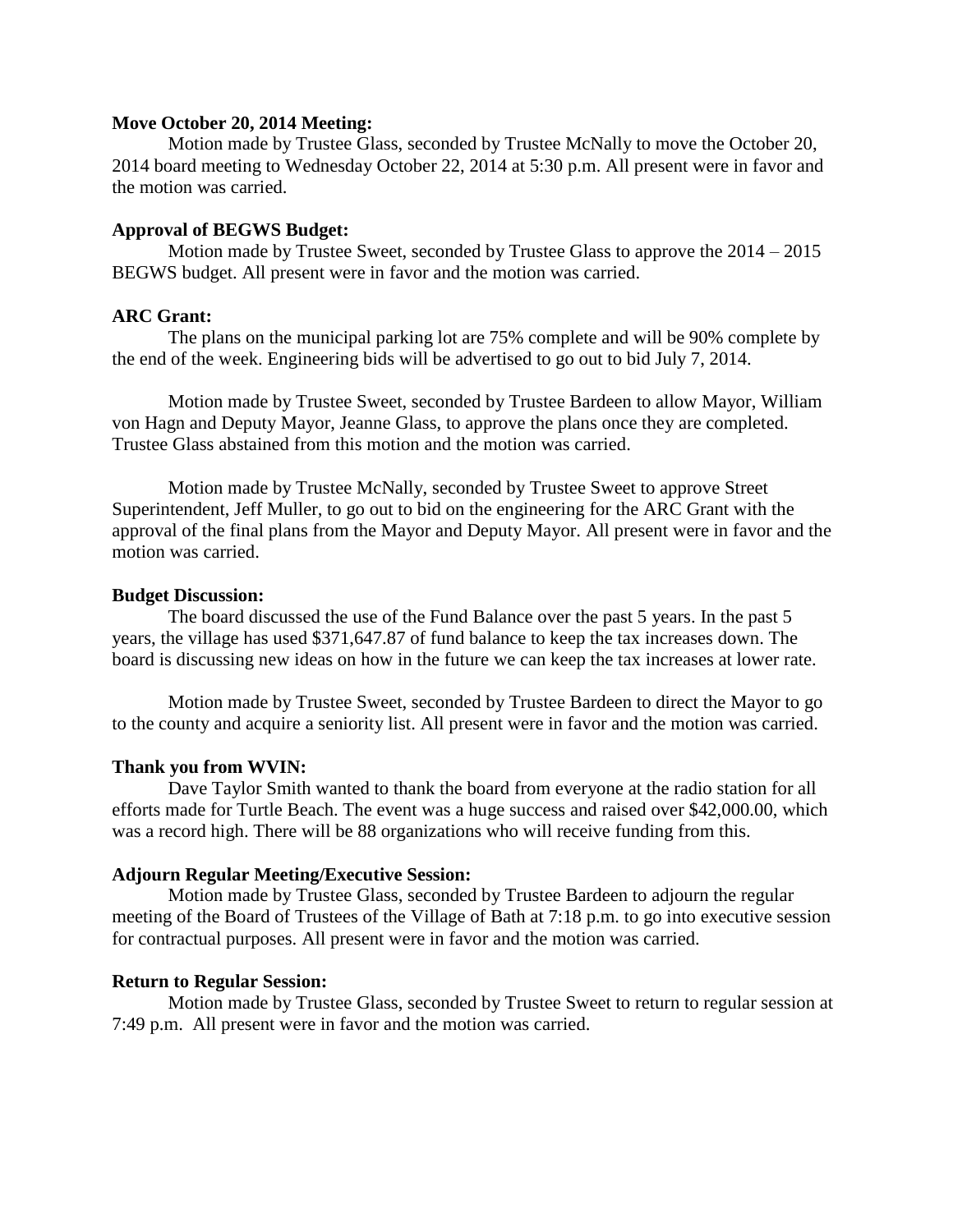### **Move October 20, 2014 Meeting:**

Motion made by Trustee Glass, seconded by Trustee McNally to move the October 20, 2014 board meeting to Wednesday October 22, 2014 at 5:30 p.m. All present were in favor and the motion was carried.

### **Approval of BEGWS Budget:**

Motion made by Trustee Sweet, seconded by Trustee Glass to approve the 2014 – 2015 BEGWS budget. All present were in favor and the motion was carried.

# **ARC Grant:**

The plans on the municipal parking lot are 75% complete and will be 90% complete by the end of the week. Engineering bids will be advertised to go out to bid July 7, 2014.

Motion made by Trustee Sweet, seconded by Trustee Bardeen to allow Mayor, William von Hagn and Deputy Mayor, Jeanne Glass, to approve the plans once they are completed. Trustee Glass abstained from this motion and the motion was carried.

Motion made by Trustee McNally, seconded by Trustee Sweet to approve Street Superintendent, Jeff Muller, to go out to bid on the engineering for the ARC Grant with the approval of the final plans from the Mayor and Deputy Mayor. All present were in favor and the motion was carried.

#### **Budget Discussion:**

The board discussed the use of the Fund Balance over the past 5 years. In the past 5 years, the village has used \$371,647.87 of fund balance to keep the tax increases down. The board is discussing new ideas on how in the future we can keep the tax increases at lower rate.

Motion made by Trustee Sweet, seconded by Trustee Bardeen to direct the Mayor to go to the county and acquire a seniority list. All present were in favor and the motion was carried.

#### **Thank you from WVIN:**

Dave Taylor Smith wanted to thank the board from everyone at the radio station for all efforts made for Turtle Beach. The event was a huge success and raised over \$42,000.00, which was a record high. There will be 88 organizations who will receive funding from this.

#### **Adjourn Regular Meeting/Executive Session:**

Motion made by Trustee Glass, seconded by Trustee Bardeen to adjourn the regular meeting of the Board of Trustees of the Village of Bath at 7:18 p.m. to go into executive session for contractual purposes. All present were in favor and the motion was carried.

#### **Return to Regular Session:**

Motion made by Trustee Glass, seconded by Trustee Sweet to return to regular session at 7:49 p.m. All present were in favor and the motion was carried.